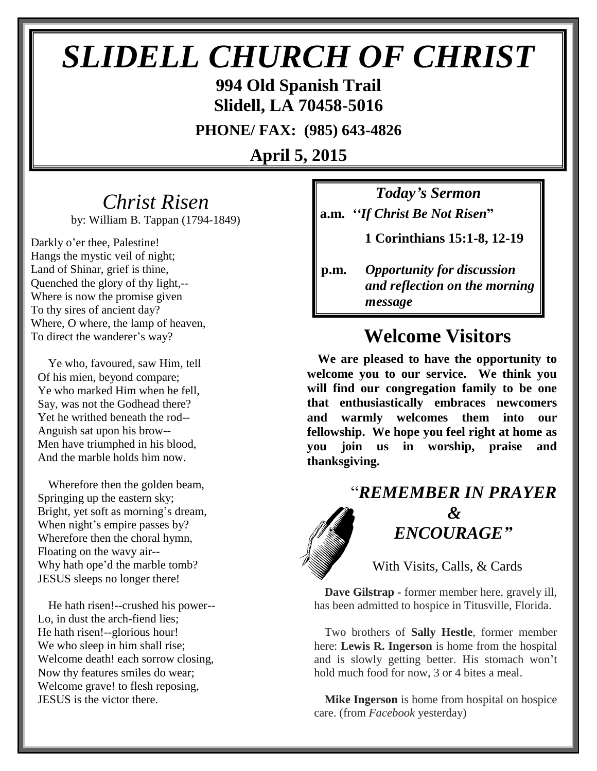# *SLIDELL CHURCH OF CHRIST*

**994 Old Spanish Trail Slidell, LA 70458-5016**

**PHONE/ FAX: (985) 643-4826**

**April 5, 2015**

## *Christ Risen*

by: William B. Tappan (1794-1849)

Darkly o'er thee, Palestine! Hangs the mystic veil of night; Land of Shinar, grief is thine, Quenched the glory of thy light,-- Where is now the promise given To thy sires of ancient day? Where, O where, the lamp of heaven, To direct the wanderer's way?

Ye who, favoured, saw Him, tell Of his mien, beyond compare; Ye who marked Him when he fell, Say, was not the Godhead there? Yet he writhed beneath the rod-- Anguish sat upon his brow-- Men have triumphed in his blood, And the marble holds him now.

Wherefore then the golden beam, Springing up the eastern sky; Bright, yet soft as morning's dream, When night's empire passes by? Wherefore then the choral hymn, Floating on the wavy air-- Why hath ope'd the marble tomb? JESUS sleeps no longer there!

He hath risen!--crushed his power-- Lo, in dust the arch-fiend lies; He hath risen!--glorious hour! We who sleep in him shall rise; Welcome death! each sorrow closing, Now thy features smiles do wear; Welcome grave! to flesh reposing, JESUS is the victor there.

*Today's Sermon* **a.m.** *''If Christ Be Not Risen***"**

 **1 Corinthians 15:1-8, 12-19**

## **Welcome Visitors**

**We are pleased to have the opportunity to welcome you to our service. We think you will find our congregation family to be one that enthusiastically embraces newcomers and warmly welcomes them into our fellowship. We hope you feel right at home as you join us in worship, praise and thanksgiving.**

## "*REMEMBER IN PRAYER &* " *ENCOURAGE"*

With Visits, Calls, & Cards

**Dave Gilstrap -** former member here, gravely ill, has been admitted to hospice in Titusville, Florida.

Two brothers of **Sally Hestle**, former member here: **Lewis R. Ingerson** is home from the hospital and is slowly getting better. His stomach won't hold much food for now, 3 or 4 bites a meal.

**Mike Ingerson** is home from hospital on hospice care. (from *Facebook* yesterday)

**p.m.** *Opportunity for discussion*  *and reflection on the morning message*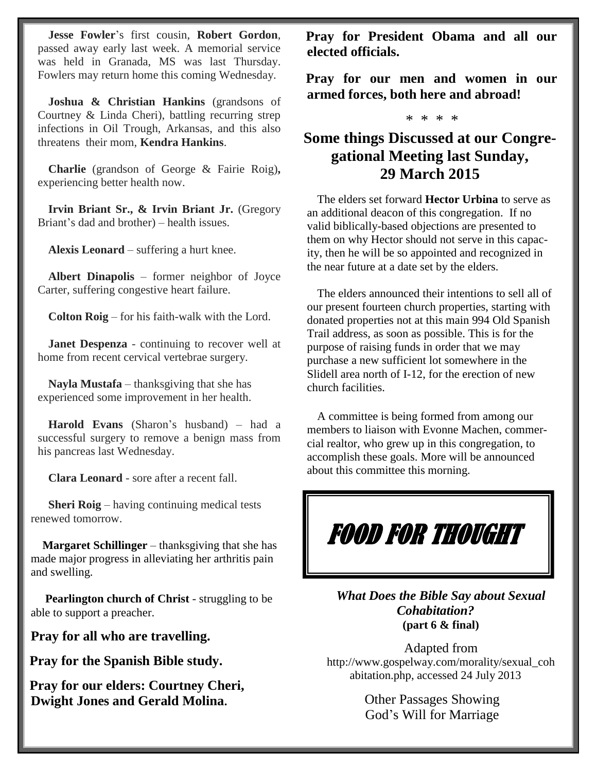**Jesse Fowler**'s first cousin, **Robert Gordon**, passed away early last week. A memorial service was held in Granada, MS was last Thursday. Fowlers may return home this coming Wednesday.

**Joshua & Christian Hankins** (grandsons of Courtney & Linda Cheri), battling recurring strep infections in Oil Trough, Arkansas, and this also threatens their mom, **Kendra Hankins**.

**Charlie** (grandson of George & Fairie Roig)**,**  experiencing better health now.

**Irvin Briant Sr., & Irvin Briant Jr.** (Gregory Briant's dad and brother) – health issues.

**Alexis Leonard** – suffering a hurt knee.

**Albert Dinapolis** – former neighbor of Joyce Carter, suffering congestive heart failure.

**Colton Roig** – for his faith-walk with the Lord.

**Janet Despenza** - continuing to recover well at home from recent cervical vertebrae surgery.

**Nayla Mustafa** – thanksgiving that she has experienced some improvement in her health.

**Harold Evans** (Sharon's husband) – had a successful surgery to remove a benign mass from his pancreas last Wednesday.

**Clara Leonard** - sore after a recent fall.

 **Sheri Roig** – having continuing medical tests renewed tomorrow.

 **Margaret Schillinger** – thanksgiving that she has made major progress in alleviating her arthritis pain and swelling.

 **Pearlington church of Christ** - struggling to be able to support a preacher.

**Pray for all who are travelling.**

**Pray for the Spanish Bible study.**

**Pray for our elders: Courtney Cheri, Dwight Jones and Gerald Molina.**

**Pray for President Obama and all our elected officials.**

**Pray for our men and women in our armed forces, both here and abroad!**

#### \* \* \* \*

#### **Some things Discussed at our Congregational Meeting last Sunday, 29 March 2015**

 The elders set forward **Hector Urbina** to serve as an additional deacon of this congregation. If no valid biblically-based objections are presented to them on why Hector should not serve in this capacity, then he will be so appointed and recognized in the near future at a date set by the elders.

 The elders announced their intentions to sell all of our present fourteen church properties, starting with donated properties not at this main 994 Old Spanish Trail address, as soon as possible. This is for the purpose of raising funds in order that we may purchase a new sufficient lot somewhere in the Slidell area north of I-12, for the erection of new church facilities.

 A committee is being formed from among our members to liaison with Evonne Machen, commercial realtor, who grew up in this congregation, to accomplish these goals. More will be announced about this committee this morning.

## FOOD FOR THOUGHT

*What Does the Bible Say about Sexual Cohabitation?* **(part 6 & final)**

Adapted from http://www.gospelway.com/morality/sexual\_coh abitation.php, accessed 24 July 2013

> Other Passages Showing God's Will for Marriage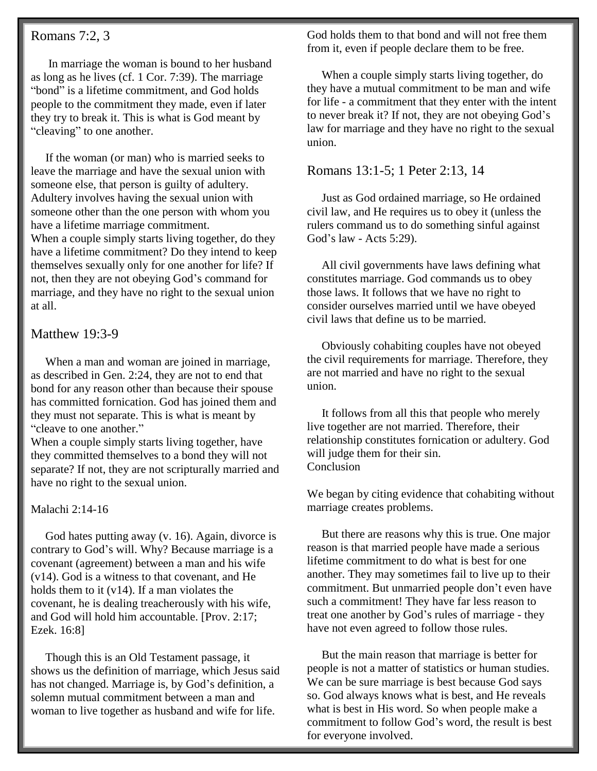#### Romans 7:2, 3

 In marriage the woman is bound to her husband as long as he lives (cf. 1 Cor. 7:39). The marriage "bond" is a lifetime commitment, and God holds people to the commitment they made, even if later they try to break it. This is what is God meant by "cleaving" to one another.

 If the woman (or man) who is married seeks to leave the marriage and have the sexual union with someone else, that person is guilty of adultery. Adultery involves having the sexual union with someone other than the one person with whom you have a lifetime marriage commitment. When a couple simply starts living together, do they

have a lifetime commitment? Do they intend to keep themselves sexually only for one another for life? If not, then they are not obeying God's command for marriage, and they have no right to the sexual union at all.

#### Matthew 19:3-9

 When a man and woman are joined in marriage, as described in Gen. 2:24, they are not to end that bond for any reason other than because their spouse has committed fornication. God has joined them and they must not separate. This is what is meant by "cleave to one another."

When a couple simply starts living together, have they committed themselves to a bond they will not separate? If not, they are not scripturally married and have no right to the sexual union.

#### Malachi 2:14-16

 God hates putting away (v. 16). Again, divorce is contrary to God's will. Why? Because marriage is a covenant (agreement) between a man and his wife (v14). God is a witness to that covenant, and He holds them to it (v14). If a man violates the covenant, he is dealing treacherously with his wife, and God will hold him accountable. [Prov. 2:17; Ezek. 16:8]

 Though this is an Old Testament passage, it shows us the definition of marriage, which Jesus said has not changed. Marriage is, by God's definition, a solemn mutual commitment between a man and woman to live together as husband and wife for life.

God holds them to that bond and will not free them from it, even if people declare them to be free.

 When a couple simply starts living together, do they have a mutual commitment to be man and wife for life - a commitment that they enter with the intent to never break it? If not, they are not obeying God's law for marriage and they have no right to the sexual union.

#### Romans 13:1-5; 1 Peter 2:13, 14

 Just as God ordained marriage, so He ordained civil law, and He requires us to obey it (unless the rulers command us to do something sinful against God's law - Acts 5:29).

 All civil governments have laws defining what constitutes marriage. God commands us to obey those laws. It follows that we have no right to consider ourselves married until we have obeyed civil laws that define us to be married.

 Obviously cohabiting couples have not obeyed the civil requirements for marriage. Therefore, they are not married and have no right to the sexual union.

 It follows from all this that people who merely live together are not married. Therefore, their relationship constitutes fornication or adultery. God will judge them for their sin. Conclusion

We began by citing evidence that cohabiting without marriage creates problems.

 But there are reasons why this is true. One major reason is that married people have made a serious lifetime commitment to do what is best for one another. They may sometimes fail to live up to their commitment. But unmarried people don't even have such a commitment! They have far less reason to treat one another by God's rules of marriage - they have not even agreed to follow those rules.

 But the main reason that marriage is better for people is not a matter of statistics or human studies. We can be sure marriage is best because God says so. God always knows what is best, and He reveals what is best in His word. So when people make a commitment to follow God's word, the result is best for everyone involved.